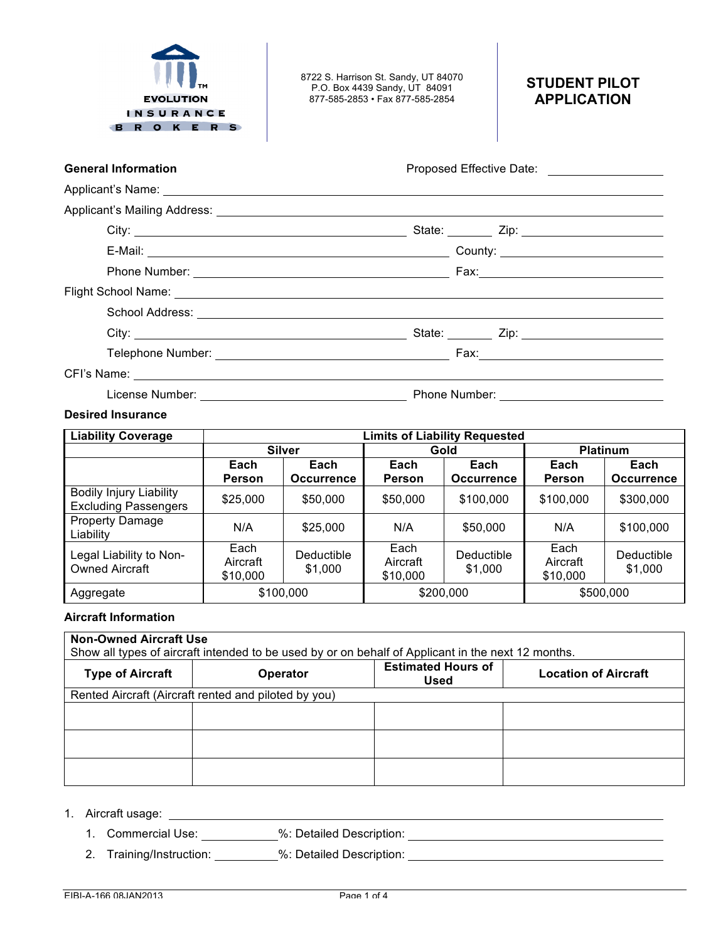

8722 S. Harrison St. Sandy, UT 84070 P.O. Box 4439 Sandy, UT 84091 877-585-2853 • Fax 877-585-2854

# **STUDENT PILOT APPLICATION**

| <b>General Information</b> | Proposed Effective Date: |
|----------------------------|--------------------------|
| Applicant's Name:          |                          |
|                            |                          |

| City: | State: _______ Zip: ________________________ |
|-------|----------------------------------------------|
|       |                                              |
|       |                                              |
|       |                                              |
|       |                                              |
|       |                                              |
|       |                                              |
|       |                                              |

License Number: Phone Number:

# **Desired Insurance**

| <b>Liability Coverage</b>                                     | <b>Limits of Liability Requested</b> |                       |                              |                       |                              |                       |  |
|---------------------------------------------------------------|--------------------------------------|-----------------------|------------------------------|-----------------------|------------------------------|-----------------------|--|
|                                                               |                                      | <b>Silver</b>         |                              | Gold                  | <b>Platinum</b>              |                       |  |
|                                                               | Each<br>Each                         |                       | Each                         | Each                  | Each                         | Each                  |  |
|                                                               | Person                               | <b>Occurrence</b>     | <b>Person</b>                | <b>Occurrence</b>     | <b>Person</b>                | <b>Occurrence</b>     |  |
| <b>Bodily Injury Liability</b><br><b>Excluding Passengers</b> | \$25,000                             | \$50,000              | \$50,000                     | \$100,000             | \$100,000                    | \$300,000             |  |
| <b>Property Damage</b><br>Liability                           | N/A                                  | \$25,000              | N/A                          | \$50,000              | N/A                          | \$100,000             |  |
| Legal Liability to Non-<br><b>Owned Aircraft</b>              | Each<br>Aircraft<br>\$10,000         | Deductible<br>\$1,000 | Each<br>Aircraft<br>\$10,000 | Deductible<br>\$1,000 | Each<br>Aircraft<br>\$10,000 | Deductible<br>\$1,000 |  |
| Aggregate                                                     |                                      | \$100,000             |                              | \$200,000             |                              | \$500,000             |  |

# **Aircraft Information**

| <b>Non-Owned Aircraft Use</b><br>Show all types of aircraft intended to be used by or on behalf of Applicant in the next 12 months. |                                                      |                                          |                             |  |  |  |  |
|-------------------------------------------------------------------------------------------------------------------------------------|------------------------------------------------------|------------------------------------------|-----------------------------|--|--|--|--|
| <b>Type of Aircraft</b>                                                                                                             | <b>Operator</b>                                      | <b>Estimated Hours of</b><br><b>Used</b> | <b>Location of Aircraft</b> |  |  |  |  |
|                                                                                                                                     | Rented Aircraft (Aircraft rented and piloted by you) |                                          |                             |  |  |  |  |
|                                                                                                                                     |                                                      |                                          |                             |  |  |  |  |
|                                                                                                                                     |                                                      |                                          |                             |  |  |  |  |
|                                                                                                                                     |                                                      |                                          |                             |  |  |  |  |

<u> 1989 - Johann John Stone, markin sanadi bashkar (</u>

1. Aircraft usage:

- 1. Commercial Use: %: Detailed Description:
- 2. Training/Instruction: \_\_\_\_\_\_\_\_\_%: Detailed Description: \_\_\_\_\_\_\_\_\_\_\_\_\_\_\_\_\_\_\_\_\_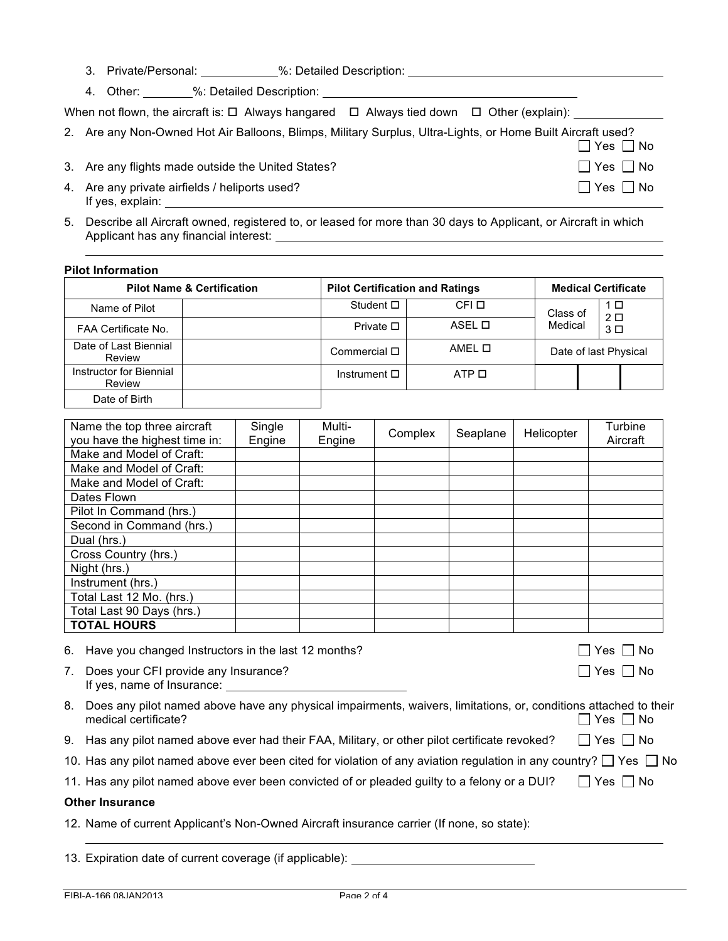|  | 3. Private/Personal: |                                    | %: Detailed Description:                                                                                                     |  |               |
|--|----------------------|------------------------------------|------------------------------------------------------------------------------------------------------------------------------|--|---------------|
|  |                      | 4. Other: %: Detailed Description: |                                                                                                                              |  |               |
|  |                      |                                    | When not flown, the aircraft is: $\square$ Always hangared $\;\;\square\;$ Always tied down $\;\;\square\;$ Other (explain): |  |               |
|  |                      |                                    | 2. Are any Non-Owned Hot Air Balloons, Blimps, Military Surplus, Ultra-Lights, or Home Built Aircraft used?                  |  | $Yes \Box No$ |

- 3. Are any flights made outside the United States?  $\Box$  Yes  $\Box$  No
- 4. Are any private airfields / heliports used?  $\Box$  Yes  $\Box$  Yes  $\Box$  No If yes, explain:
- 5. Describe all Aircraft owned, registered to, or leased for more than 30 days to Applicant, or Aircraft in which Applicant has any financial interest:

#### **Pilot Information**

|                                   | <b>Pilot Name &amp; Certification</b> | <b>Pilot Certification and Ratings</b> | <b>Medical Certificate</b> |          |  |                       |
|-----------------------------------|---------------------------------------|----------------------------------------|----------------------------|----------|--|-----------------------|
| Name of Pilot                     |                                       | Student $\square$                      | CFI O                      | Class of |  | 1 □<br>2 <sup>D</sup> |
| FAA Certificate No.               |                                       | Private $\square$                      | ASEL O                     | Medical  |  | 3 <sup>D</sup>        |
| Date of Last Biennial<br>Review   |                                       | Commercial $\square$                   | AMEL O                     |          |  | Date of last Physical |
| Instructor for Biennial<br>Review |                                       | Instrument $\square$                   | ATP <sub>II</sub>          |          |  |                       |
| Date of Birth                     |                                       |                                        |                            |          |  |                       |

| Name the top three aircraft   | Single | Multi- | Complex | Seaplane | Helicopter | Turbine  |
|-------------------------------|--------|--------|---------|----------|------------|----------|
| you have the highest time in: | Engine | Engine |         |          |            | Aircraft |
| Make and Model of Craft:      |        |        |         |          |            |          |
| Make and Model of Craft:      |        |        |         |          |            |          |
| Make and Model of Craft:      |        |        |         |          |            |          |
| Dates Flown                   |        |        |         |          |            |          |
| Pilot In Command (hrs.)       |        |        |         |          |            |          |
| Second in Command (hrs.)      |        |        |         |          |            |          |
| Dual (hrs.)                   |        |        |         |          |            |          |
| Cross Country (hrs.)          |        |        |         |          |            |          |
| Night (hrs.)                  |        |        |         |          |            |          |
| Instrument (hrs.)             |        |        |         |          |            |          |
| Total Last 12 Mo. (hrs.)      |        |        |         |          |            |          |
| Total Last 90 Days (hrs.)     |        |        |         |          |            |          |
| <b>TOTAL HOURS</b>            |        |        |         |          |            |          |

6. Have you changed Instructors in the last 12 months?

| $\Box$ Yes $\Box$ No  |  |
|-----------------------|--|
| $\Box$ Yes $\Box$ No. |  |

- 7. Does your CFI provide any Insurance?  $\Box$  Yes  $\Box$  No If yes, name of Insurance:
- 8. Does any pilot named above have any physical impairments, waivers, limitations, or, conditions attached to their medical certificate?  $\Box$  Yes  $\Box$  No
- 9. Has any pilot named above ever had their FAA, Military, or other pilot certificate revoked?  $\Box$  Yes  $\Box$  No
- 10. Has any pilot named above ever been cited for violation of any aviation regulation in any country?  $\Box$  Yes  $\Box$  No
- 11. Has any pilot named above ever been convicted of or pleaded guilty to a felony or a DUI?  $\Box$  Yes  $\Box$  No

#### **Other Insurance**

- 12. Name of current Applicant's Non-Owned Aircraft insurance carrier (If none, so state):
- 13. Expiration date of current coverage (if applicable):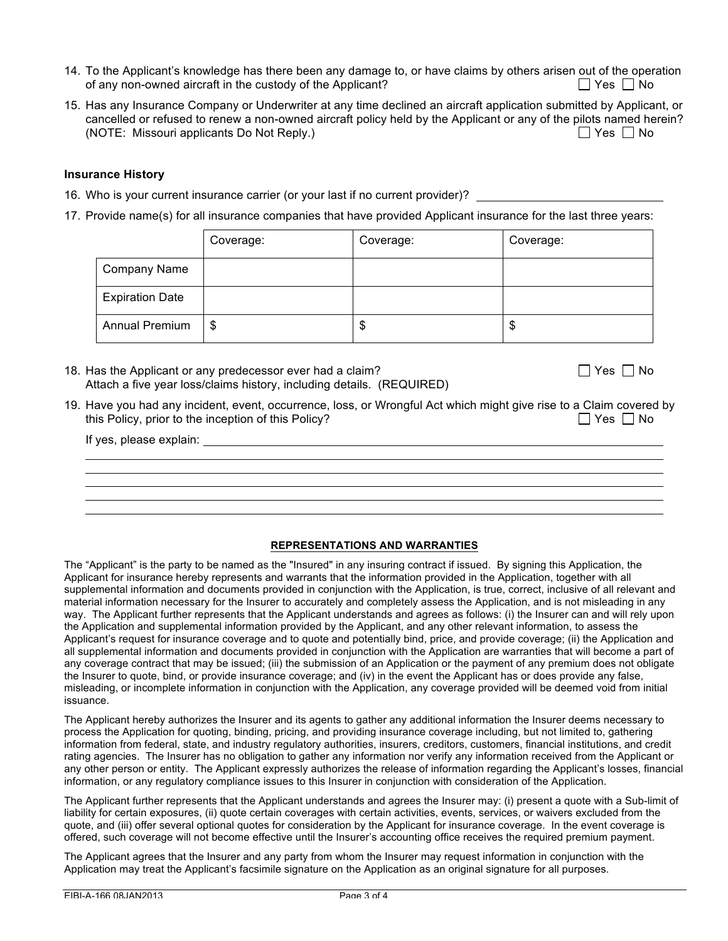- 14. To the Applicant's knowledge has there been any damage to, or have claims by others arisen out of the operation of any non-owned aircraft in the custody of the Applicant?  $\Box$  Yes  $\Box$  No
- 15. Has any Insurance Company or Underwriter at any time declined an aircraft application submitted by Applicant, or cancelled or refused to renew a non-owned aircraft policy held by the Applicant or any of the pilots named herein? (NOTE: Missouri applicants Do Not Reply.)  $\Box$  Yes  $\Box$  No

### **Insurance History**

- 16. Who is your current insurance carrier (or your last if no current provider)?
- 17. Provide name(s) for all insurance companies that have provided Applicant insurance for the last three years:

|                        | Coverage: | Coverage: | Coverage: |
|------------------------|-----------|-----------|-----------|
| <b>Company Name</b>    |           |           |           |
| <b>Expiration Date</b> |           |           |           |
| <b>Annual Premium</b>  | \$        | \$        | \$        |

18. Has the Applicant or any predecessor ever had a claim?  $\Box$  Yes  $\Box$  Yes  $\Box$  No Attach a five year loss/claims history, including details. (REQUIRED)

19. Have you had any incident, event, occurrence, loss, or Wrongful Act which might give rise to a Claim covered by<br>this Policy, prior to the inception of this Policy? this Policy, prior to the inception of this Policy?

If yes, please explain:

# **REPRESENTATIONS AND WARRANTIES**

The "Applicant" is the party to be named as the "Insured" in any insuring contract if issued. By signing this Application, the Applicant for insurance hereby represents and warrants that the information provided in the Application, together with all supplemental information and documents provided in conjunction with the Application, is true, correct, inclusive of all relevant and material information necessary for the Insurer to accurately and completely assess the Application, and is not misleading in any way. The Applicant further represents that the Applicant understands and agrees as follows: (i) the Insurer can and will rely upon the Application and supplemental information provided by the Applicant, and any other relevant information, to assess the Applicant's request for insurance coverage and to quote and potentially bind, price, and provide coverage; (ii) the Application and all supplemental information and documents provided in conjunction with the Application are warranties that will become a part of any coverage contract that may be issued; (iii) the submission of an Application or the payment of any premium does not obligate the Insurer to quote, bind, or provide insurance coverage; and (iv) in the event the Applicant has or does provide any false, misleading, or incomplete information in conjunction with the Application, any coverage provided will be deemed void from initial issuance.

The Applicant hereby authorizes the Insurer and its agents to gather any additional information the Insurer deems necessary to process the Application for quoting, binding, pricing, and providing insurance coverage including, but not limited to, gathering information from federal, state, and industry regulatory authorities, insurers, creditors, customers, financial institutions, and credit rating agencies. The Insurer has no obligation to gather any information nor verify any information received from the Applicant or any other person or entity. The Applicant expressly authorizes the release of information regarding the Applicant's losses, financial information, or any regulatory compliance issues to this Insurer in conjunction with consideration of the Application.

The Applicant further represents that the Applicant understands and agrees the Insurer may: (i) present a quote with a Sub-limit of liability for certain exposures, (ii) quote certain coverages with certain activities, events, services, or waivers excluded from the quote, and (iii) offer several optional quotes for consideration by the Applicant for insurance coverage. In the event coverage is offered, such coverage will not become effective until the Insurer's accounting office receives the required premium payment.

The Applicant agrees that the Insurer and any party from whom the Insurer may request information in conjunction with the Application may treat the Applicant's facsimile signature on the Application as an original signature for all purposes.